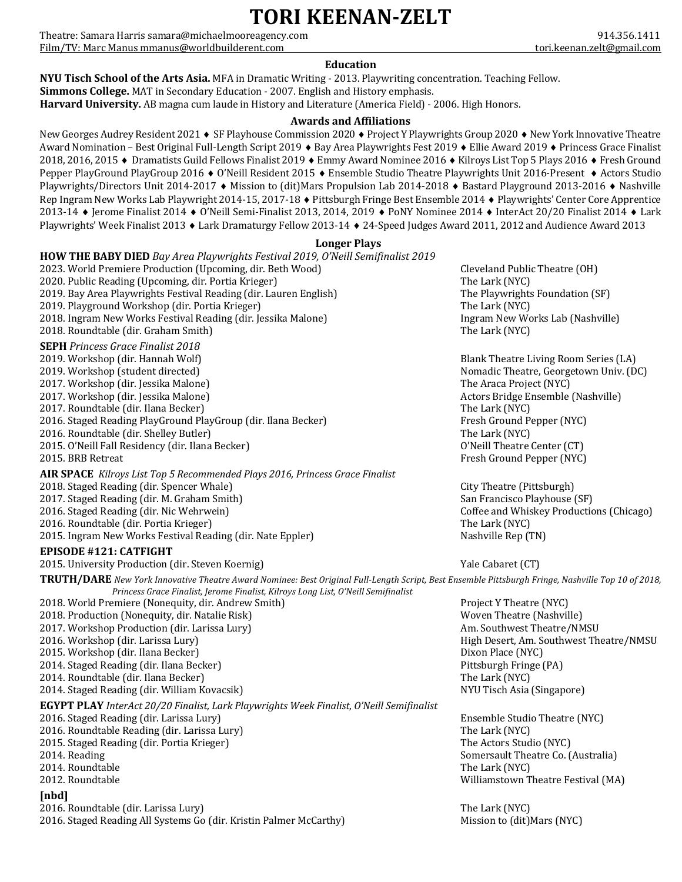# **TORI KEENAN-ZELT**

Theatre: Samara Harris samara@michaelmooreagency.com 914.356.1411 Film/TV: Marc Manus mmanus@worldbuilderent.com tori.keenan.zelt@gmail.com

## **Education**

**NYU Tisch School of the Arts Asia.** MFA in Dramatic Writing - 2013. Playwriting concentration. Teaching Fellow. **Simmons College.** MAT in Secondary Education - 2007. English and History emphasis. **Harvard University.** AB magna cum laude in History and Literature (America Field) - 2006. High Honors.

## **Awards and Affiliations**

New Georges Audrey Resident 2021 • SF Playhouse Commission 2020 • Project Y Playwrights Group 2020 • New York Innovative Theatre Award Nomination – Best Original Full-Length Script 2019 • Bay Area Playwrights Fest 2019 • Ellie Award 2019 • Princess Grace Finalist 2018, 2016, 2015 ◆ Dramatists Guild Fellows Finalist 2019 ◆ Emmy Award Nominee 2016 ◆ Kilroys List Top 5 Plays 2016 ◆ Fresh Ground Pepper PlayGround PlayGroup 2016  $\bullet$  O'Neill Resident 2015  $\bullet$  Ensemble Studio Theatre Playwrights Unit 2016-Present  $\bullet$  Actors Studio Playwrights/Directors Unit 2014-2017  $\bullet$  Mission to (dit)Mars Propulsion Lab 2014-2018  $\bullet$  Bastard Playground 2013-2016  $\bullet$  Nashville Rep Ingram New Works Lab Playwright 2014-15, 2017-18  $\bullet$  Pittsburgh Fringe Best Ensemble 2014  $\bullet$  Playwrights' Center Core Apprentice 2013-14 ♦ Jerome Finalist 2014 ♦ O'Neill Semi-Finalist 2013, 2014, 2019 ♦ PoNY Nominee 2014 ♦ InterAct 20/20 Finalist 2014 ♦ Lark Playwrights' Week Finalist 2013 • Lark Dramaturgy Fellow 2013-14 • 24-Speed Judges Award 2011, 2012 and Audience Award 2013

#### **Longer Plays**

| HOW THE BABY DIED Bay Area Playwrights Festival 2019, O'Neill Semifinalist 2019                                                                    |                                          |
|----------------------------------------------------------------------------------------------------------------------------------------------------|------------------------------------------|
| 2023. World Premiere Production (Upcoming, dir. Beth Wood)                                                                                         | Cleveland Public Theatre (OH)            |
| 2020. Public Reading (Upcoming, dir. Portia Krieger)                                                                                               | The Lark (NYC)                           |
| 2019. Bay Area Playwrights Festival Reading (dir. Lauren English)                                                                                  | The Playwrights Foundation (SF)          |
| 2019. Playground Workshop (dir. Portia Krieger)                                                                                                    | The Lark (NYC)                           |
| 2018. Ingram New Works Festival Reading (dir. Jessika Malone)                                                                                      | Ingram New Works Lab (Nashville)         |
| 2018. Roundtable (dir. Graham Smith)                                                                                                               | The Lark (NYC)                           |
| <b>SEPH</b> Princess Grace Finalist 2018                                                                                                           |                                          |
| 2019. Workshop (dir. Hannah Wolf)                                                                                                                  | Blank Theatre Living Room Series (LA)    |
| 2019. Workshop (student directed)                                                                                                                  | Nomadic Theatre, Georgetown Univ. (DC)   |
| 2017. Workshop (dir. Jessika Malone)                                                                                                               | The Araca Project (NYC)                  |
| 2017. Workshop (dir. Jessika Malone)                                                                                                               | Actors Bridge Ensemble (Nashville)       |
| 2017. Roundtable (dir. Ilana Becker)                                                                                                               | The Lark (NYC)                           |
| 2016. Staged Reading PlayGround PlayGroup (dir. Ilana Becker)                                                                                      | Fresh Ground Pepper (NYC)                |
| 2016. Roundtable (dir. Shelley Butler)                                                                                                             | The Lark (NYC)                           |
|                                                                                                                                                    |                                          |
| 2015. O'Neill Fall Residency (dir. Ilana Becker)                                                                                                   | O'Neill Theatre Center (CT)              |
| 2015. BRB Retreat                                                                                                                                  | Fresh Ground Pepper (NYC)                |
| AIR SPACE Kilroys List Top 5 Recommended Plays 2016, Princess Grace Finalist                                                                       |                                          |
| 2018. Staged Reading (dir. Spencer Whale)                                                                                                          | City Theatre (Pittsburgh)                |
| 2017. Staged Reading (dir. M. Graham Smith)                                                                                                        | San Francisco Playhouse (SF)             |
| 2016. Staged Reading (dir. Nic Wehrwein)                                                                                                           | Coffee and Whiskey Productions (Chicago) |
| 2016. Roundtable (dir. Portia Krieger)                                                                                                             | The Lark (NYC)                           |
| 2015. Ingram New Works Festival Reading (dir. Nate Eppler)                                                                                         | Nashville Rep (TN)                       |
| <b>EPISODE #121: CATFIGHT</b>                                                                                                                      |                                          |
| 2015. University Production (dir. Steven Koernig)                                                                                                  | Yale Cabaret (CT)                        |
| TRUTH/DARE New York Innovative Theatre Award Nominee: Best Original Full-Length Script, Best Ensemble Pittsburgh Fringe, Nashville Top 10 of 2018, |                                          |
| Princess Grace Finalist, Jerome Finalist, Kilroys Long List, O'Neill Semifinalist                                                                  |                                          |
| 2018. World Premiere (Nonequity, dir. Andrew Smith)                                                                                                | Project Y Theatre (NYC)                  |
| 2018. Production (Nonequity, dir. Natalie Risk)                                                                                                    | Woven Theatre (Nashville)                |
| 2017. Workshop Production (dir. Larissa Lury)                                                                                                      | Am. Southwest Theatre/NMSU               |
| 2016. Workshop (dir. Larissa Lury)                                                                                                                 | High Desert, Am. Southwest Theatre/NMSU  |
| 2015. Workshop (dir. Ilana Becker)                                                                                                                 | Dixon Place (NYC)                        |
| 2014. Staged Reading (dir. Ilana Becker)                                                                                                           | Pittsburgh Fringe (PA)                   |
| 2014. Roundtable (dir. Ilana Becker)                                                                                                               | The Lark (NYC)                           |
| 2014. Staged Reading (dir. William Kovacsik)                                                                                                       | NYU Tisch Asia (Singapore)               |
| <b>EGYPT PLAY</b> InterAct 20/20 Finalist, Lark Playwrights Week Finalist, O'Neill Semifinalist                                                    |                                          |
| 2016. Staged Reading (dir. Larissa Lury)                                                                                                           | Ensemble Studio Theatre (NYC)            |
| 2016. Roundtable Reading (dir. Larissa Lury)                                                                                                       | The Lark (NYC)                           |
| 2015. Staged Reading (dir. Portia Krieger)                                                                                                         | The Actors Studio (NYC)                  |
| 2014. Reading                                                                                                                                      | Somersault Theatre Co. (Australia)       |
| 2014. Roundtable                                                                                                                                   | The Lark (NYC)                           |
| 2012. Roundtable                                                                                                                                   | Williamstown Theatre Festival (MA)       |
|                                                                                                                                                    |                                          |
| [nbd]                                                                                                                                              |                                          |
| 2016. Roundtable (dir. Larissa Lury)                                                                                                               | The Lark (NYC)                           |
| 2016. Staged Reading All Systems Go (dir. Kristin Palmer McCarthy)                                                                                 | Mission to (dit) Mars (NYC)              |